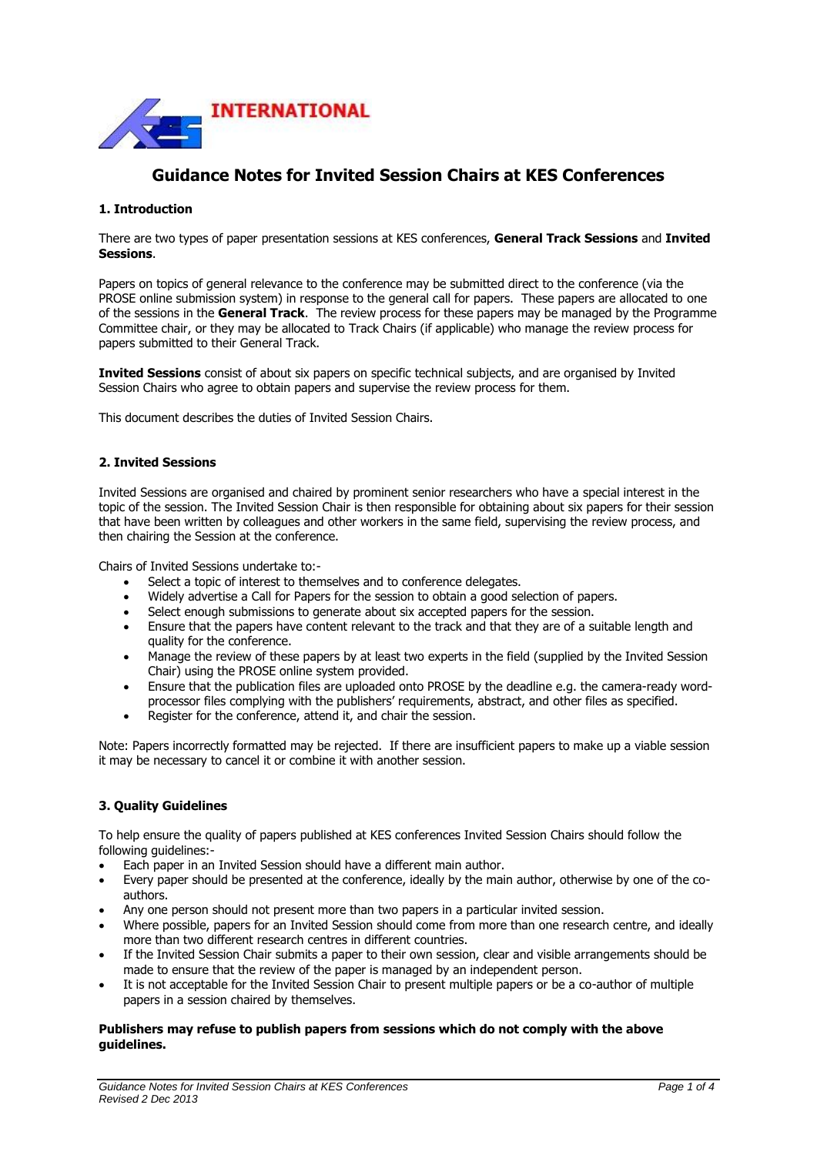

# **Guidance Notes for Invited Session Chairs at KES Conferences**

## **1. Introduction**

There are two types of paper presentation sessions at KES conferences, **General Track Sessions** and **Invited Sessions**.

Papers on topics of general relevance to the conference may be submitted direct to the conference (via the PROSE online submission system) in response to the general call for papers. These papers are allocated to one of the sessions in the **General Track**. The review process for these papers may be managed by the Programme Committee chair, or they may be allocated to Track Chairs (if applicable) who manage the review process for papers submitted to their General Track.

**Invited Sessions** consist of about six papers on specific technical subjects, and are organised by Invited Session Chairs who agree to obtain papers and supervise the review process for them.

This document describes the duties of Invited Session Chairs.

#### **2. Invited Sessions**

Invited Sessions are organised and chaired by prominent senior researchers who have a special interest in the topic of the session. The Invited Session Chair is then responsible for obtaining about six papers for their session that have been written by colleagues and other workers in the same field, supervising the review process, and then chairing the Session at the conference.

Chairs of Invited Sessions undertake to:-

- Select a topic of interest to themselves and to conference delegates.
- Widely advertise a Call for Papers for the session to obtain a good selection of papers.
- Select enough submissions to generate about six accepted papers for the session.
- Ensure that the papers have content relevant to the track and that they are of a suitable length and quality for the conference.
- Manage the review of these papers by at least two experts in the field (supplied by the Invited Session Chair) using the PROSE online system provided.
- Ensure that the publication files are uploaded onto PROSE by the deadline e.g. the camera-ready wordprocessor files complying with the publishers' requirements, abstract, and other files as specified.
- Register for the conference, attend it, and chair the session.

Note: Papers incorrectly formatted may be rejected. If there are insufficient papers to make up a viable session it may be necessary to cancel it or combine it with another session.

# **3. Quality Guidelines**

To help ensure the quality of papers published at KES conferences Invited Session Chairs should follow the following guidelines:-

- Each paper in an Invited Session should have a different main author.
- Every paper should be presented at the conference, ideally by the main author, otherwise by one of the coauthors.
- Any one person should not present more than two papers in a particular invited session.
- Where possible, papers for an Invited Session should come from more than one research centre, and ideally more than two different research centres in different countries.
- If the Invited Session Chair submits a paper to their own session, clear and visible arrangements should be made to ensure that the review of the paper is managed by an independent person.
- It is not acceptable for the Invited Session Chair to present multiple papers or be a co-author of multiple papers in a session chaired by themselves.

#### **Publishers may refuse to publish papers from sessions which do not comply with the above guidelines.**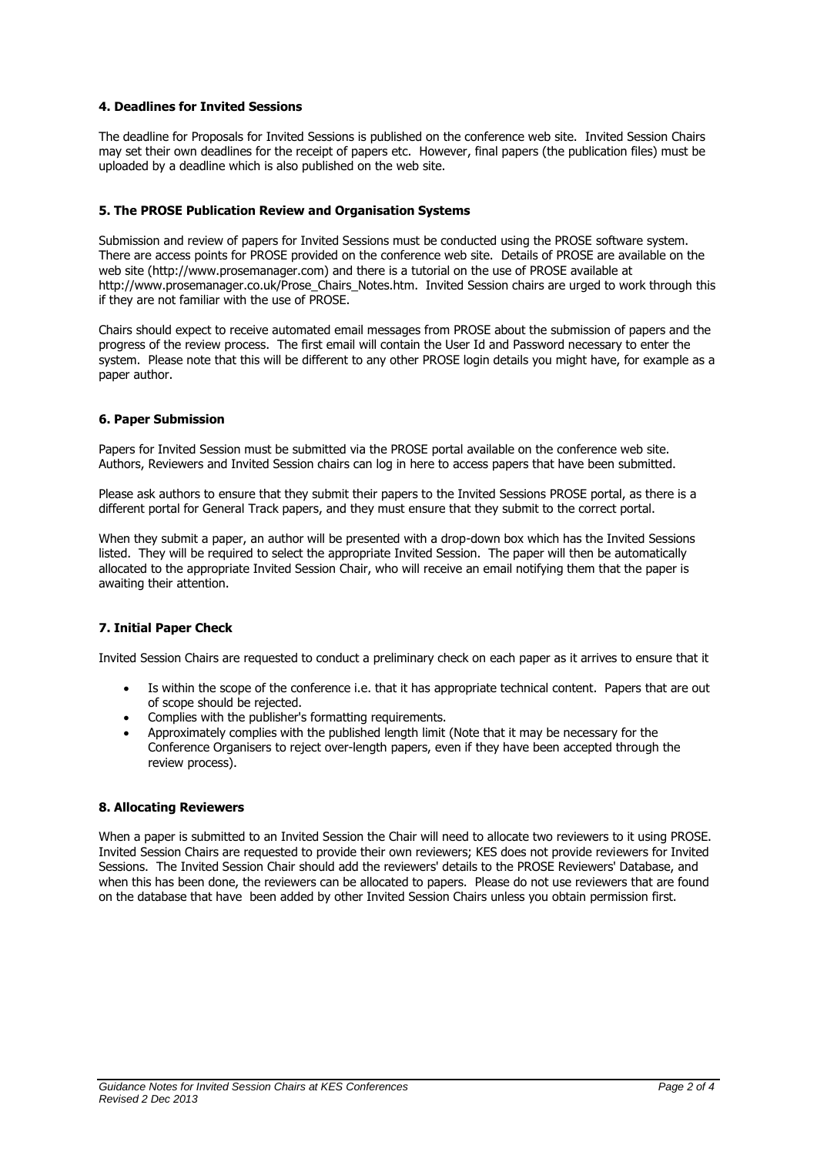## **4. Deadlines for Invited Sessions**

The deadline for Proposals for Invited Sessions is published on the conference web site. Invited Session Chairs may set their own deadlines for the receipt of papers etc. However, final papers (the publication files) must be uploaded by a deadline which is also published on the web site.

## **5. The PROSE Publication Review and Organisation Systems**

Submission and review of papers for Invited Sessions must be conducted using the PROSE software system. There are access points for PROSE provided on the conference web site. Details of PROSE are available on the web site (http://www.prosemanager.com) and there is a tutorial on the use of PROSE available at http://www.prosemanager.co.uk/Prose\_Chairs\_Notes.htm. Invited Session chairs are urged to work through this if they are not familiar with the use of PROSE.

Chairs should expect to receive automated email messages from PROSE about the submission of papers and the progress of the review process. The first email will contain the User Id and Password necessary to enter the system. Please note that this will be different to any other PROSE login details you might have, for example as a paper author.

#### **6. Paper Submission**

Papers for Invited Session must be submitted via the PROSE portal available on the conference web site. Authors, Reviewers and Invited Session chairs can log in here to access papers that have been submitted.

Please ask authors to ensure that they submit their papers to the Invited Sessions PROSE portal, as there is a different portal for General Track papers, and they must ensure that they submit to the correct portal.

When they submit a paper, an author will be presented with a drop-down box which has the Invited Sessions listed. They will be required to select the appropriate Invited Session. The paper will then be automatically allocated to the appropriate Invited Session Chair, who will receive an email notifying them that the paper is awaiting their attention.

# **7. Initial Paper Check**

Invited Session Chairs are requested to conduct a preliminary check on each paper as it arrives to ensure that it

- Is within the scope of the conference i.e. that it has appropriate technical content. Papers that are out of scope should be rejected.
- Complies with the publisher's formatting requirements.
- Approximately complies with the published length limit (Note that it may be necessary for the Conference Organisers to reject over-length papers, even if they have been accepted through the review process).

#### **8. Allocating Reviewers**

When a paper is submitted to an Invited Session the Chair will need to allocate two reviewers to it using PROSE. Invited Session Chairs are requested to provide their own reviewers; KES does not provide reviewers for Invited Sessions. The Invited Session Chair should add the reviewers' details to the PROSE Reviewers' Database, and when this has been done, the reviewers can be allocated to papers. Please do not use reviewers that are found on the database that have been added by other Invited Session Chairs unless you obtain permission first.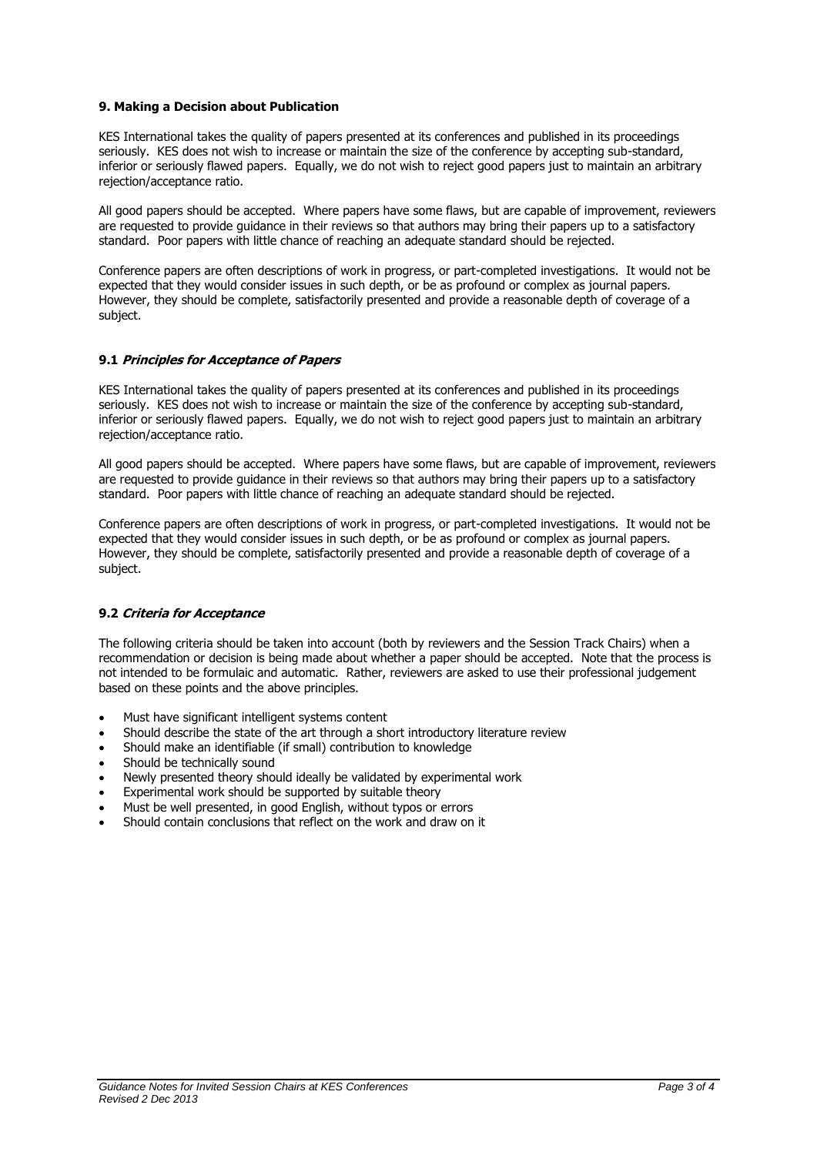#### **9. Making a Decision about Publication**

KES International takes the quality of papers presented at its conferences and published in its proceedings seriously. KES does not wish to increase or maintain the size of the conference by accepting sub-standard, inferior or seriously flawed papers. Equally, we do not wish to reject good papers just to maintain an arbitrary rejection/acceptance ratio.

All good papers should be accepted. Where papers have some flaws, but are capable of improvement, reviewers are requested to provide guidance in their reviews so that authors may bring their papers up to a satisfactory standard. Poor papers with little chance of reaching an adequate standard should be rejected.

Conference papers are often descriptions of work in progress, or part-completed investigations. It would not be expected that they would consider issues in such depth, or be as profound or complex as journal papers. However, they should be complete, satisfactorily presented and provide a reasonable depth of coverage of a subject.

#### **9.1 Principles for Acceptance of Papers**

KES International takes the quality of papers presented at its conferences and published in its proceedings seriously. KES does not wish to increase or maintain the size of the conference by accepting sub-standard, inferior or seriously flawed papers. Equally, we do not wish to reject good papers just to maintain an arbitrary rejection/acceptance ratio.

All good papers should be accepted. Where papers have some flaws, but are capable of improvement, reviewers are requested to provide guidance in their reviews so that authors may bring their papers up to a satisfactory standard. Poor papers with little chance of reaching an adequate standard should be rejected.

Conference papers are often descriptions of work in progress, or part-completed investigations. It would not be expected that they would consider issues in such depth, or be as profound or complex as journal papers. However, they should be complete, satisfactorily presented and provide a reasonable depth of coverage of a subject.

#### **9.2 Criteria for Acceptance**

The following criteria should be taken into account (both by reviewers and the Session Track Chairs) when a recommendation or decision is being made about whether a paper should be accepted. Note that the process is not intended to be formulaic and automatic. Rather, reviewers are asked to use their professional judgement based on these points and the above principles.

- Must have significant intelligent systems content
- Should describe the state of the art through a short introductory literature review
- Should make an identifiable (if small) contribution to knowledge
- Should be technically sound
- Newly presented theory should ideally be validated by experimental work
- Experimental work should be supported by suitable theory
- Must be well presented, in good English, without typos or errors
- Should contain conclusions that reflect on the work and draw on it